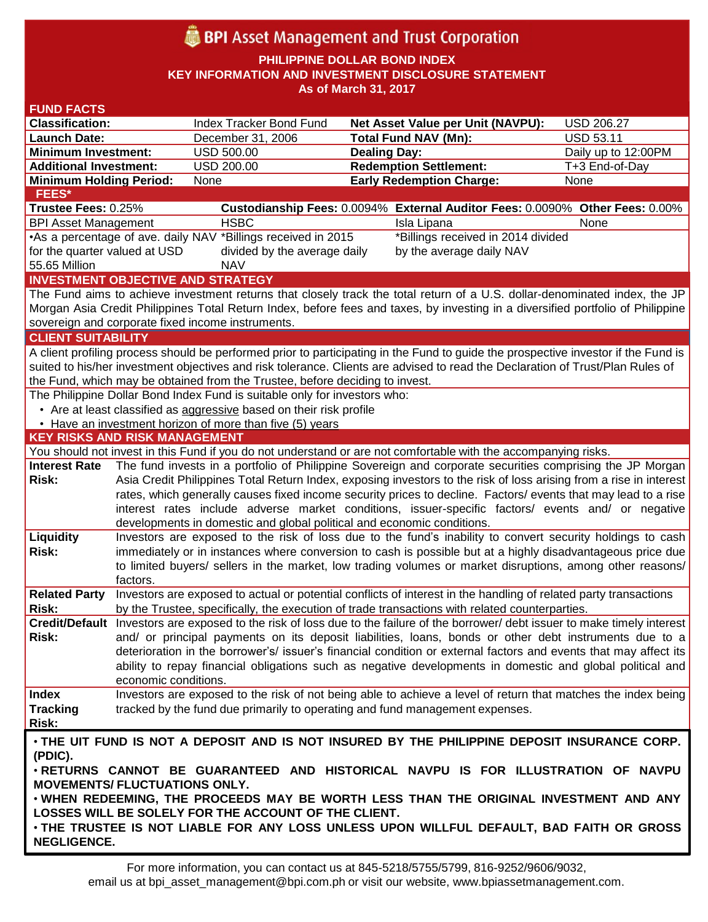# **BPI** Asset Management and Trust Corporation

**PHILIPPINE DOLLAR BOND INDEX**

**KEY INFORMATION AND INVESTMENT DISCLOSURE STATEMENT**

**As of March 31, 2017**

| <b>FUND FACTS</b>                                                                     |                                                                                                                                                                                                                         |                                                                              |                                                                                                                                    |                     |  |  |
|---------------------------------------------------------------------------------------|-------------------------------------------------------------------------------------------------------------------------------------------------------------------------------------------------------------------------|------------------------------------------------------------------------------|------------------------------------------------------------------------------------------------------------------------------------|---------------------|--|--|
| <b>Classification:</b>                                                                |                                                                                                                                                                                                                         | Index Tracker Bond Fund                                                      | <b>Net Asset Value per Unit (NAVPU):</b>                                                                                           | <b>USD 206.27</b>   |  |  |
| <b>Launch Date:</b>                                                                   |                                                                                                                                                                                                                         | December 31, 2006                                                            | <b>Total Fund NAV (Mn):</b>                                                                                                        | <b>USD 53.11</b>    |  |  |
| <b>Minimum Investment:</b>                                                            |                                                                                                                                                                                                                         | <b>USD 500.00</b>                                                            | <b>Dealing Day:</b>                                                                                                                | Daily up to 12:00PM |  |  |
| <b>Additional Investment:</b>                                                         |                                                                                                                                                                                                                         | USD 200.00                                                                   | <b>Redemption Settlement:</b>                                                                                                      | T+3 End-of-Day      |  |  |
| <b>Minimum Holding Period:</b>                                                        |                                                                                                                                                                                                                         | None                                                                         | <b>Early Redemption Charge:</b>                                                                                                    | None                |  |  |
| <b>FEES*</b>                                                                          |                                                                                                                                                                                                                         |                                                                              |                                                                                                                                    |                     |  |  |
| Trustee Fees: 0.25%                                                                   |                                                                                                                                                                                                                         |                                                                              | Custodianship Fees: 0.0094% External Auditor Fees: 0.0090% Other Fees: 0.00%                                                       |                     |  |  |
| <b>BPI Asset Management</b>                                                           |                                                                                                                                                                                                                         | <b>HSBC</b>                                                                  | Isla Lipana                                                                                                                        | None                |  |  |
|                                                                                       |                                                                                                                                                                                                                         | •As a percentage of ave. daily NAV *Billings received in 2015                | *Billings received in 2014 divided                                                                                                 |                     |  |  |
| for the quarter valued at USD                                                         |                                                                                                                                                                                                                         | divided by the average daily                                                 | by the average daily NAV                                                                                                           |                     |  |  |
| 55.65 Million                                                                         |                                                                                                                                                                                                                         | <b>NAV</b>                                                                   |                                                                                                                                    |                     |  |  |
|                                                                                       |                                                                                                                                                                                                                         | <b>INVESTMENT OBJECTIVE AND STRATEGY</b>                                     |                                                                                                                                    |                     |  |  |
|                                                                                       |                                                                                                                                                                                                                         |                                                                              | The Fund aims to achieve investment returns that closely track the total return of a U.S. dollar-denominated index, the JP         |                     |  |  |
|                                                                                       |                                                                                                                                                                                                                         |                                                                              | Morgan Asia Credit Philippines Total Return Index, before fees and taxes, by investing in a diversified portfolio of Philippine    |                     |  |  |
|                                                                                       |                                                                                                                                                                                                                         | sovereign and corporate fixed income instruments.                            |                                                                                                                                    |                     |  |  |
| <b>CLIENT SUITABILITY</b>                                                             |                                                                                                                                                                                                                         |                                                                              |                                                                                                                                    |                     |  |  |
|                                                                                       |                                                                                                                                                                                                                         |                                                                              | A client profiling process should be performed prior to participating in the Fund to guide the prospective investor if the Fund is |                     |  |  |
|                                                                                       |                                                                                                                                                                                                                         |                                                                              | suited to his/her investment objectives and risk tolerance. Clients are advised to read the Declaration of Trust/Plan Rules of     |                     |  |  |
|                                                                                       |                                                                                                                                                                                                                         | the Fund, which may be obtained from the Trustee, before deciding to invest. |                                                                                                                                    |                     |  |  |
|                                                                                       |                                                                                                                                                                                                                         | The Philippine Dollar Bond Index Fund is suitable only for investors who:    |                                                                                                                                    |                     |  |  |
|                                                                                       |                                                                                                                                                                                                                         | • Are at least classified as aggressive based on their risk profile          |                                                                                                                                    |                     |  |  |
|                                                                                       |                                                                                                                                                                                                                         | • Have an investment horizon of more than five (5) years                     |                                                                                                                                    |                     |  |  |
| <b>KEY RISKS AND RISK MANAGEMENT</b>                                                  |                                                                                                                                                                                                                         |                                                                              |                                                                                                                                    |                     |  |  |
|                                                                                       |                                                                                                                                                                                                                         |                                                                              | You should not invest in this Fund if you do not understand or are not comfortable with the accompanying risks.                    |                     |  |  |
| <b>Interest Rate</b>                                                                  |                                                                                                                                                                                                                         |                                                                              | The fund invests in a portfolio of Philippine Sovereign and corporate securities comprising the JP Morgan                          |                     |  |  |
| <b>Risk:</b>                                                                          |                                                                                                                                                                                                                         |                                                                              | Asia Credit Philippines Total Return Index, exposing investors to the risk of loss arising from a rise in interest                 |                     |  |  |
|                                                                                       |                                                                                                                                                                                                                         |                                                                              | rates, which generally causes fixed income security prices to decline. Factors/ events that may lead to a rise                     |                     |  |  |
|                                                                                       |                                                                                                                                                                                                                         |                                                                              | interest rates include adverse market conditions, issuer-specific factors/ events and/ or negative                                 |                     |  |  |
|                                                                                       |                                                                                                                                                                                                                         | developments in domestic and global political and economic conditions.       |                                                                                                                                    |                     |  |  |
| Liquidity                                                                             |                                                                                                                                                                                                                         |                                                                              | Investors are exposed to the risk of loss due to the fund's inability to convert security holdings to cash                         |                     |  |  |
| <b>Risk:</b>                                                                          | immediately or in instances where conversion to cash is possible but at a highly disadvantageous price due<br>to limited buyers/ sellers in the market, low trading volumes or market disruptions, among other reasons/ |                                                                              |                                                                                                                                    |                     |  |  |
|                                                                                       |                                                                                                                                                                                                                         |                                                                              |                                                                                                                                    |                     |  |  |
|                                                                                       | factors.                                                                                                                                                                                                                |                                                                              |                                                                                                                                    |                     |  |  |
| <b>Related Party</b>                                                                  |                                                                                                                                                                                                                         |                                                                              | Investors are exposed to actual or potential conflicts of interest in the handling of related party transactions                   |                     |  |  |
| Risk:                                                                                 |                                                                                                                                                                                                                         |                                                                              | by the Trustee, specifically, the execution of trade transactions with related counterparties.                                     |                     |  |  |
|                                                                                       |                                                                                                                                                                                                                         |                                                                              | Credit/Default Investors are exposed to the risk of loss due to the failure of the borrower/debt issuer to make timely interest    |                     |  |  |
| Risk:                                                                                 |                                                                                                                                                                                                                         |                                                                              | and/ or principal payments on its deposit liabilities, loans, bonds or other debt instruments due to a                             |                     |  |  |
|                                                                                       |                                                                                                                                                                                                                         |                                                                              | deterioration in the borrower's/ issuer's financial condition or external factors and events that may affect its                   |                     |  |  |
|                                                                                       |                                                                                                                                                                                                                         |                                                                              | ability to repay financial obligations such as negative developments in domestic and global political and                          |                     |  |  |
|                                                                                       | economic conditions.                                                                                                                                                                                                    |                                                                              |                                                                                                                                    |                     |  |  |
| <b>Index</b>                                                                          |                                                                                                                                                                                                                         |                                                                              | Investors are exposed to the risk of not being able to achieve a level of return that matches the index being                      |                     |  |  |
| <b>Tracking</b>                                                                       |                                                                                                                                                                                                                         |                                                                              | tracked by the fund due primarily to operating and fund management expenses.                                                       |                     |  |  |
| Risk:                                                                                 |                                                                                                                                                                                                                         |                                                                              |                                                                                                                                    |                     |  |  |
|                                                                                       |                                                                                                                                                                                                                         |                                                                              | . THE UIT FUND IS NOT A DEPOSIT AND IS NOT INSURED BY THE PHILIPPINE DEPOSIT INSURANCE CORP.                                       |                     |  |  |
| (PDIC).                                                                               |                                                                                                                                                                                                                         |                                                                              |                                                                                                                                    |                     |  |  |
| . RETURNS CANNOT BE GUARANTEED AND HISTORICAL NAVPU IS FOR ILLUSTRATION OF NAVPU      |                                                                                                                                                                                                                         |                                                                              |                                                                                                                                    |                     |  |  |
| <b>MOVEMENTS/ FLUCTUATIONS ONLY.</b>                                                  |                                                                                                                                                                                                                         |                                                                              |                                                                                                                                    |                     |  |  |
| . WHEN REDEEMING, THE PROCEEDS MAY BE WORTH LESS THAN THE ORIGINAL INVESTMENT AND ANY |                                                                                                                                                                                                                         |                                                                              |                                                                                                                                    |                     |  |  |
|                                                                                       |                                                                                                                                                                                                                         | LOSSES WILL BE SOLELY FOR THE ACCOUNT OF THE CLIENT.                         |                                                                                                                                    |                     |  |  |
|                                                                                       |                                                                                                                                                                                                                         |                                                                              | . THE TRUSTEE IS NOT LIABLE FOR ANY LOSS UNLESS UPON WILLFUL DEFAULT, BAD FAITH OR GROSS                                           |                     |  |  |
| NEGLIGENCE.                                                                           |                                                                                                                                                                                                                         |                                                                              |                                                                                                                                    |                     |  |  |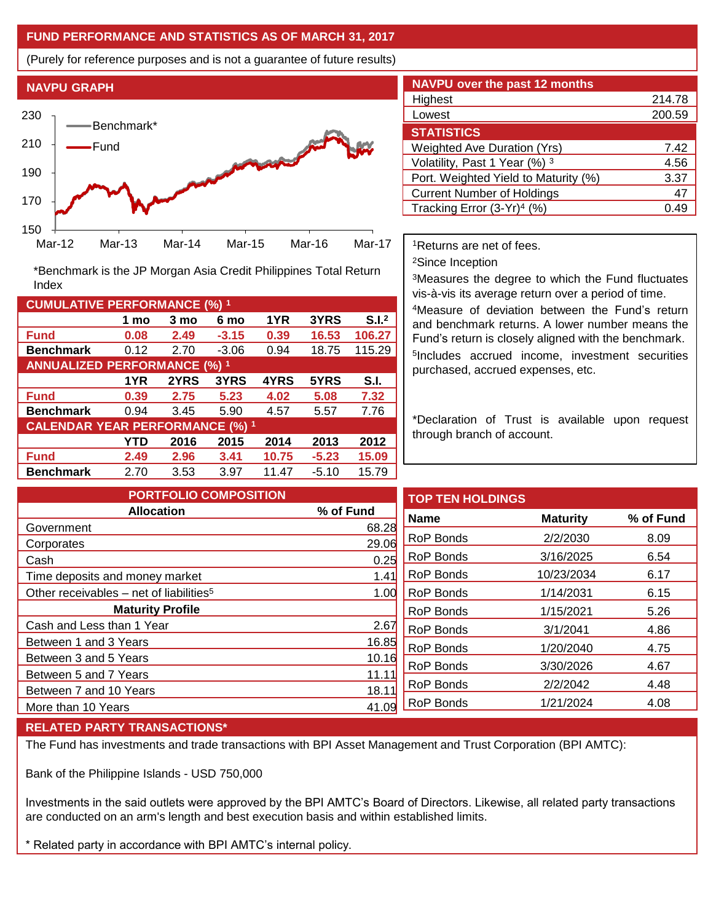## **FUND PERFORMANCE AND STATISTICS AS OF MARCH 31, 2017**

(Purely for reference purposes and is not a guarantee of future results)



**Fund 0.08 2.49 -3.15 0.39 16.53 106.27 Benchmark** 0.12 2.70 -3.06 0.94 18.75 115.29

\*Benchmark is the JP Morgan Asia Credit Philippines Total Return

**Fund 0.39 2.75 5.23 4.02 5.08 7.32 Benchmark** 0.94 3.45 5.90 4.57 5.57 7.76

**Fund 2.49 2.96 3.41 10.75 -5.23 15.09 Benchmark** 2.70 3.53 3.97 11.47 -5.10 15.79

**1 mo 3 mo 6 mo 1YR 3YRS S.I.<sup>2</sup>**

**1YR 2YRS 3YRS 4YRS 5YRS S.I.**

**YTD 2016 2015 2014 2013 2012**

| <b>NAVPU over the past 12 months</b>   |        |  |  |  |  |
|----------------------------------------|--------|--|--|--|--|
| Highest                                | 214.78 |  |  |  |  |
| Lowest                                 | 200.59 |  |  |  |  |
| <b>STATISTICS</b>                      |        |  |  |  |  |
| <b>Weighted Ave Duration (Yrs)</b>     | 7.42   |  |  |  |  |
| Volatility, Past 1 Year (%) 3          | 4.56   |  |  |  |  |
| Port. Weighted Yield to Maturity (%)   | 3.37   |  |  |  |  |
| <b>Current Number of Holdings</b>      | 47     |  |  |  |  |
| Tracking Error (3-Yr) <sup>4</sup> (%) | በ 49   |  |  |  |  |

<sup>1</sup>Returns are net of fees.

<sup>2</sup>Since Inception

<sup>3</sup>Measures the degree to which the Fund fluctuates vis-à-vis its average return over a period of time.

<sup>4</sup>Measure of deviation between the Fund's return and benchmark returns. A lower number means the Fund's return is closely aligned with the benchmark. 5 Includes accrued income, investment securities purchased, accrued expenses, etc.

\*Declaration of Trust is available upon request through branch of account.

| <b>PORTFOLIO COMPOSITION</b>                        |           | т |
|-----------------------------------------------------|-----------|---|
| <b>Allocation</b>                                   | % of Fund | N |
| Government                                          | 68.28     |   |
| Corporates                                          | 29.06     | R |
| Cash                                                | 0.25      | R |
| Time deposits and money market                      | 1.41      | R |
| Other receivables – net of liabilities <sup>5</sup> | 1.00      | R |
| <b>Maturity Profile</b>                             |           | R |
| Cash and Less than 1 Year                           | 2.67      | R |
| Between 1 and 3 Years                               | 16.85     | R |
| Between 3 and 5 Years                               | 10.16     |   |
| Between 5 and 7 Years                               | 11.11     | R |
| Between 7 and 10 Years                              | 18.11     | R |
| More than 10 Years                                  | 41.09     | R |

| <b>TOP TEN HOLDINGS</b> |                 |           |
|-------------------------|-----------------|-----------|
| <b>Name</b>             | <b>Maturity</b> | % of Fund |
| RoP Bonds               | 2/2/2030        | 8.09      |
| RoP Bonds               | 3/16/2025       | 6.54      |
| RoP Bonds               | 10/23/2034      | 6.17      |
| RoP Bonds               | 1/14/2031       | 6.15      |
| RoP Bonds               | 1/15/2021       | 5.26      |
| RoP Bonds               | 3/1/2041        | 4.86      |
| RoP Bonds               | 1/20/2040       | 4.75      |
| RoP Bonds               | 3/30/2026       | 4.67      |
| RoP Bonds               | 2/2/2042        | 4.48      |
| RoP Bonds               | 1/21/2024       | 4.08      |
|                         |                 |           |

## **RELATED PARTY TRANSACTIONS\***

**CUMULATIVE PERFORMANCE (%) <sup>1</sup>**

Index

**ANNUALIZED PERFORMANCE (%) <sup>1</sup>**

**CALENDAR YEAR PERFORMANCE (%) <sup>1</sup>**

The Fund has investments and trade transactions with BPI Asset Management and Trust Corporation (BPI AMTC):

Bank of the Philippine Islands - USD 750,000

Investments in the said outlets were approved by the BPI AMTC's Board of Directors. Likewise, all related party transactions are conducted on an arm's length and best execution basis and within established limits.

\* Related party in accordance with BPI AMTC's internal policy.